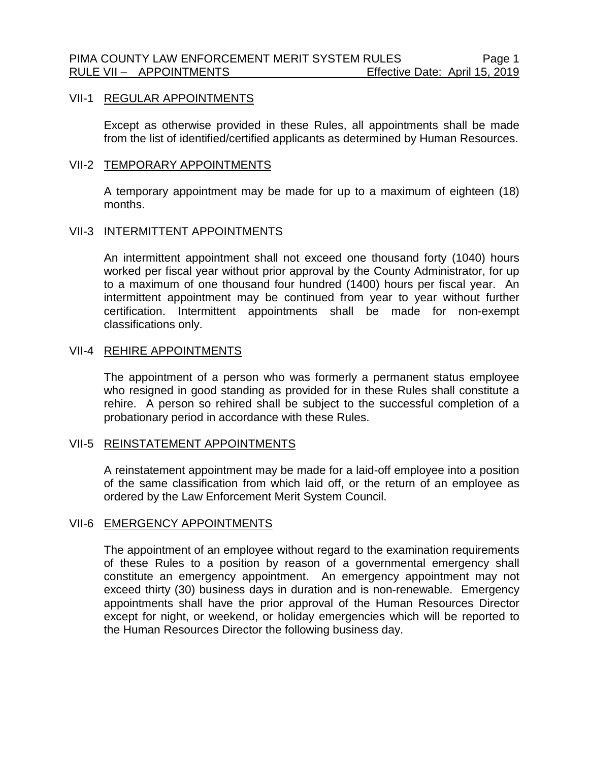## VII-1 REGULAR APPOINTMENTS

Except as otherwise provided in these Rules, all appointments shall be made from the list of identified/certified applicants as determined by Human Resources.

## VII-2 TEMPORARY APPOINTMENTS

A temporary appointment may be made for up to a maximum of eighteen (18) months.

### VII-3 INTERMITTENT APPOINTMENTS

An intermittent appointment shall not exceed one thousand forty (1040) hours worked per fiscal year without prior approval by the County Administrator, for up to a maximum of one thousand four hundred (1400) hours per fiscal year. An intermittent appointment may be continued from year to year without further certification. Intermittent appointments shall be made for non-exempt classifications only.

### VII-4 REHIRE APPOINTMENTS

The appointment of a person who was formerly a permanent status employee who resigned in good standing as provided for in these Rules shall constitute a rehire. A person so rehired shall be subject to the successful completion of a probationary period in accordance with these Rules.

#### VII-5 REINSTATEMENT APPOINTMENTS

A reinstatement appointment may be made for a laid-off employee into a position of the same classification from which laid off, or the return of an employee as ordered by the Law Enforcement Merit System Council.

## VII-6 EMERGENCY APPOINTMENTS

The appointment of an employee without regard to the examination requirements of these Rules to a position by reason of a governmental emergency shall constitute an emergency appointment. An emergency appointment may not exceed thirty (30) business days in duration and is non-renewable. Emergency appointments shall have the prior approval of the Human Resources Director except for night, or weekend, or holiday emergencies which will be reported to the Human Resources Director the following business day.